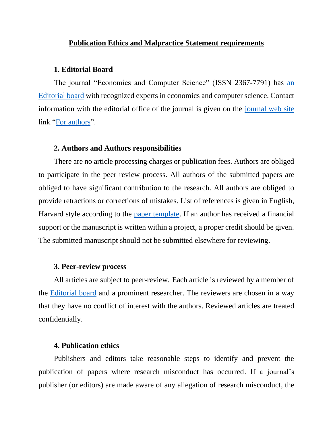## **Publication Ethics and Malpractice Statement requirements**

## **1. Editorial Board**

The journal "Economics and Computer Science" (ISSN 2367-7791) has an [Editorial board](http://eknigibg.net/Editorial_board.pdf) with recognized experts in economics and computer science. Contact information with the editorial office of the journal is given on the [journal web site](http://eknigibg.net/index.php?route=information/information&information_id=8) link ["For authors"](http://eknigibg.net/For_authors.pdf).

### **2. Authors and Authors responsibilities**

There are no article processing charges or publication fees. Authors are obliged to participate in the peer review process. All authors of the submitted papers are obliged to have significant contribution to the research. All authors are obliged to provide retractions or corrections of mistakes. List of references is given in English, Harvard style according to the [paper template.](http://eknigibg.net/Paper_template_ECS_EN.docx) If an author has received a financial support or the manuscript is written within a project, a proper credit should be given. The submitted manuscript should not be submitted elsewhere for reviewing.

#### **3. Peer-review process**

All articles are subject to peer-review. Each article is reviewed by a member of the [Editorial board](http://eknigibg.net/Editorial_board.pdf) and a prominent researcher. The reviewers are chosen in a way that they have no conflict of interest with the authors. Reviewed articles are treated confidentially.

## **4. Publication ethics**

Publishers and editors take reasonable steps to identify and prevent the publication of papers where research misconduct has occurred. If a journal's publisher (or editors) are made aware of any allegation of research misconduct, the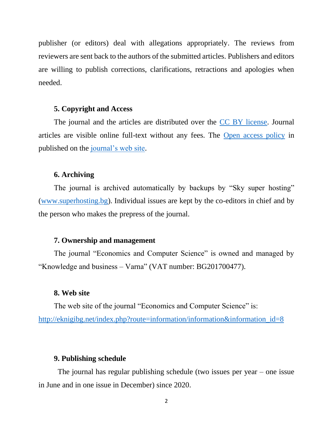publisher (or editors) deal with allegations appropriately. The reviews from reviewers are sent back to the authors of the submitted articles. Publishers and editors are willing to publish corrections, clarifications, retractions and apologies when needed.

## **5. Copyright and Access**

The journal and the articles are distributed over the [CC BY license.](https://creativecommons.org/licenses/by/4.0/) Journal articles are visible online full-text without any fees. The [Open access policy](http://eknigibg.net/Open_access_policy.pdf) in published on the [journal's web site.](http://eknigibg.net/index.php?route=information/information&information_id=8)

## **6. Archiving**

The journal is archived automatically by backups by "Sky super hosting" [\(www.superhosting.bg\)](http://www.superhosting.bg/). Individual issues are kept by the co-editors in chief and by the person who makes the prepress of the journal.

### **7. Ownership and management**

The journal "Economics and Computer Science" is owned and managed by "Knowledge and business – Varna" (VAT number: BG201700477).

#### **8. Web site**

The web site of the journal "Economics and Computer Science" is: [http://eknigibg.net/index.php?route=information/information&information\\_id=8](http://eknigibg.net/index.php?route=information/information&information_id=8)

## **9. Publishing schedule**

The journal has regular publishing schedule (two issues per year – one issue in June and in one issue in December) since 2020.